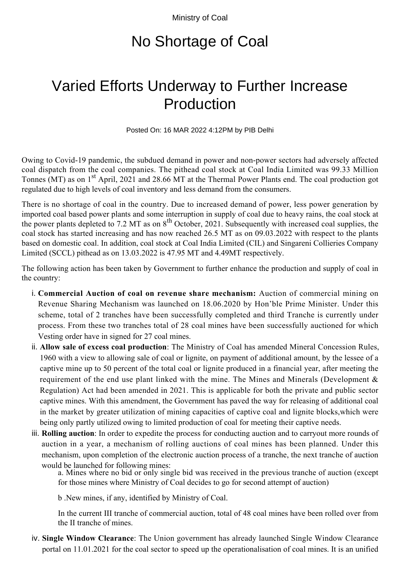Ministry of Coal

## No Shortage of Coal

## Varied Efforts Underway to Further Increase Production

Posted On: 16 MAR 2022 4:12PM by PIB Delhi

Owing to Covid-19 pandemic, the subdued demand in power and non-power sectors had adversely affected coal dispatch from the coal companies. The pithead coal stock at Coal India Limited was 99.33 Million Tonnes (MT) as on 1<sup>st</sup> April, 2021 and 28.66 MT at the Thermal Power Plants end. The coal production got regulated due to high levels of coal inventory and less demand from the consumers.

There is no shortage of coal in the country. Due to increased demand of power, less power generation by imported coal based power plants and some interruption in supply of coal due to heavy rains, the coal stock at the power plants depleted to 7.2 MT as on 8<sup>th</sup> October, 2021. Subsequently with increased coal supplies, the coal stock has started increasing and has now reached 26.5 MT as on 09.03.2022 with respect to the plants based on domestic coal. In addition, coal stock at Coal India Limited (CIL) and Singareni Collieries Company Limited (SCCL) pithead as on 13.03.2022 is 47.95 MT and 4.49MT respectively.

The following action has been taken by Government to further enhance the production and supply of coal in the country:

- **Commercial Auction of coal on revenue share mechanism:** Auction of commercial mining on i. Revenue Sharing Mechanism was launched on 18.06.2020 by Hon'ble Prime Minister. Under this scheme, total of 2 tranches have been successfully completed and third Tranche is currently under process. From these two tranches total of 28 coal mines have been successfully auctioned for which Vesting order have in signed for 27 coal mines.
- ii. Allow sale of excess coal production: The Ministry of Coal has amended Mineral Concession Rules, 1960 with a view to allowing sale of coal or lignite, on payment of additional amount, by the lessee of a captive mine up to 50 percent of the total coal or lignite produced in a financial year, after meeting the requirement of the end use plant linked with the mine. The Mines and Minerals (Development & Regulation) Act had been amended in 2021. This is applicable for both the private and public sector captive mines. With this amendment, the Government has paved the way for releasing of additional coal in the market by greater utilization of mining capacities of captive coal and lignite blocks,which were being only partly utilized owing to limited production of coal for meeting their captive needs.
- iii. Rolling auction: In order to expedite the process for conducting auction and to carryout more rounds of auction in a year, a mechanism of rolling auctions of coal mines has been planned. Under this mechanism, upon completion of the electronic auction process of a tranche, the next tranche of auction would be launched for following mines:

a. Mines where no bid or only single bid was received in the previous tranche of auction (except for those mines where Ministry of Coal decides to go for second attempt of auction)

b .New mines, if any, identified by Ministry of Coal.

In the current III tranche of commercial auction, total of 48 coal mines have been rolled over from the II tranche of mines.

iv. Single Window Clearance: The Union government has already launched Single Window Clearance portal on 11.01.2021 for the coal sector to speed up the operationalisation of coal mines. It is an unified